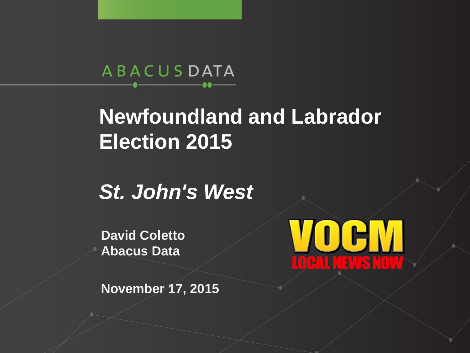ABACUSDATA

#### **Newfoundland and Labrador Election 2015**

*St. John's West* 

**David Coletto Abacus Data**



**November 17, 2015**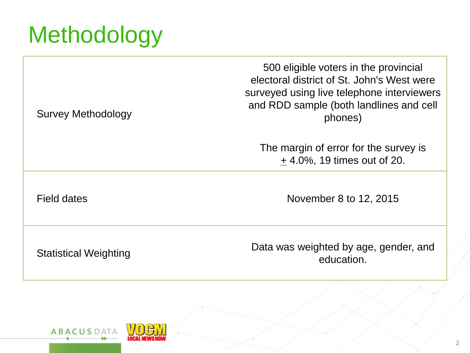# **Methodology**

500 eligible voters in the provincial electoral district of St. John's West were surveyed using live telephone interviewers and RDD sample (both landlines and cell phones)

The margin of error for the survey is + 4.0%, 19 times out of 20.

Field dates November 8 to 12, 2015

Survey Methodology

Statistical Weighting Data was weighted by age, gender, and education.

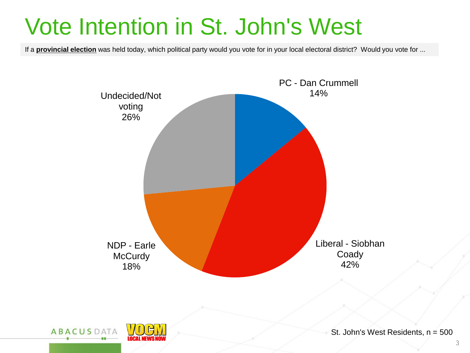## Vote Intention in St. John's West

If a **provincial election** was held today, which political party would you vote for in your local electoral district? Would you vote for ...

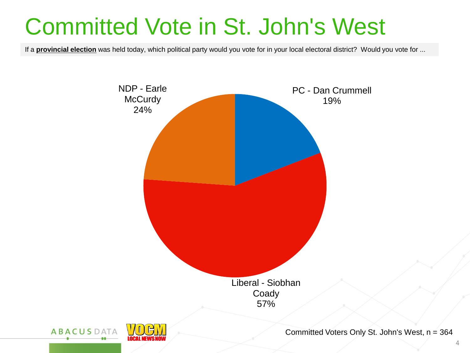## Committed Vote in St. John's West

If a **provincial election** was held today, which political party would you vote for in your local electoral district? Would you vote for ...



 $\Delta$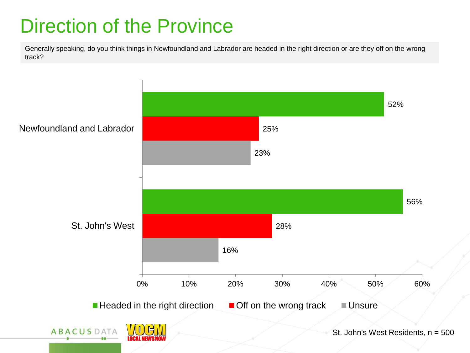#### Direction of the Province

Generally speaking, do you think things in Newfoundland and Labrador are headed in the right direction or are they off on the wrong track?

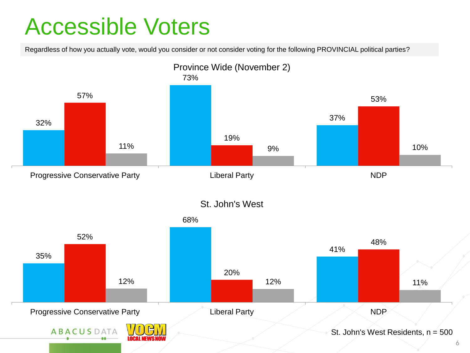## Accessible Voters

Regardless of how you actually vote, would you consider or not consider voting for the following PROVINCIAL political parties?



6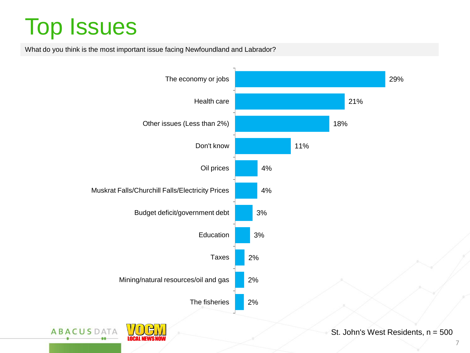# Top Issues

What do you think is the most important issue facing Newfoundland and Labrador?

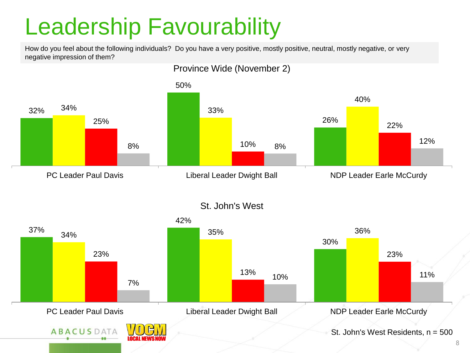## Leadership Favourability

How do you feel about the following individuals? Do you have a very positive, mostly positive, neutral, mostly negative, or very negative impression of them?

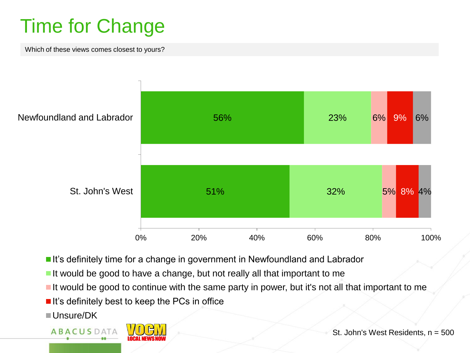#### Time for Change

Which of these views comes closest to yours?



- It's definitely time for a change in government in Newfoundland and Labrador
- It would be good to have a change, but not really all that important to me
- It would be good to continue with the same party in power, but it's not all that important to me
- $\blacksquare$  It's definitely best to keep the PCs in office
- Unsure/DK

**ABACUSDATA** 



St. John's West Residents, n = 500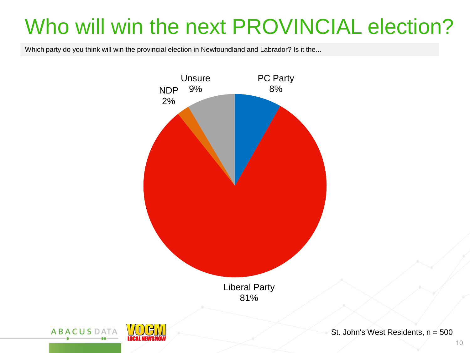### Who will win the next PROVINCIAL election?

Which party do you think will win the provincial election in Newfoundland and Labrador? Is it the...



St. John's West Residents, n = 500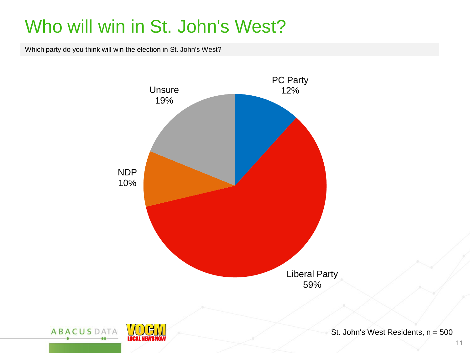#### Who will win in St. John's West?

Which party do you think will win the election in St. John's West?



11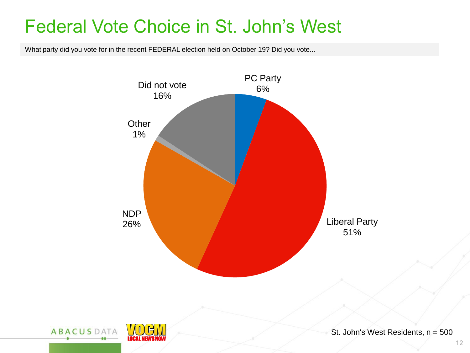#### Federal Vote Choice in St. John's West

What party did you vote for in the recent FEDERAL election held on October 19? Did you vote...